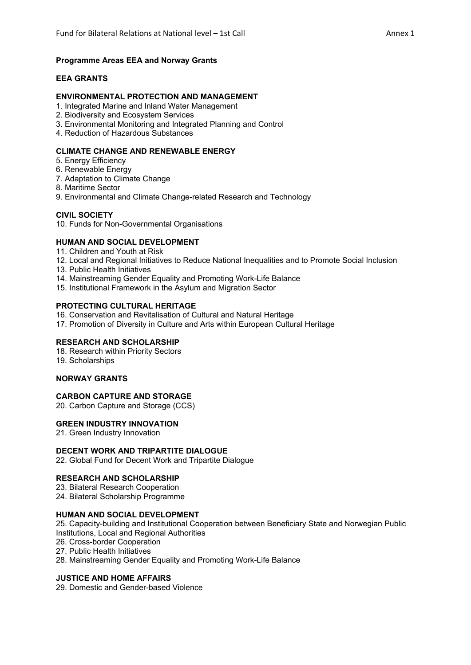## **Programme Areas EEA and Norway Grants**

# **EEA GRANTS**

# **ENVIRONMENTAL PROTECTION AND MANAGEMENT**

- 1. Integrated Marine and Inland Water Management
- 2. Biodiversity and Ecosystem Services
- 3. Environmental Monitoring and Integrated Planning and Control
- 4. Reduction of Hazardous Substances

### **CLIMATE CHANGE AND RENEWABLE ENERGY**

- 5. Energy Efficiency
- 6. Renewable Energy
- 7. Adaptation to Climate Change
- 8. Maritime Sector
- 9. Environmental and Climate Change-related Research and Technology

## **CIVIL SOCIETY**

10. Funds for Non-Governmental Organisations

## **HUMAN AND SOCIAL DEVELOPMENT**

- 11. Children and Youth at Risk
- 12. Local and Regional Initiatives to Reduce National Inequalities and to Promote Social Inclusion
- 13. Public Health Initiatives
- 14. Mainstreaming Gender Equality and Promoting Work-Life Balance
- 15. Institutional Framework in the Asylum and Migration Sector

## **PROTECTING CULTURAL HERITAGE**

- 16. Conservation and Revitalisation of Cultural and Natural Heritage
- 17. Promotion of Diversity in Culture and Arts within European Cultural Heritage

# **RESEARCH AND SCHOLARSHIP**

- 18. Research within Priority Sectors
- 19. Scholarships

# **NORWAY GRANTS**

## **CARBON CAPTURE AND STORAGE**

20. Carbon Capture and Storage (CCS)

### **GREEN INDUSTRY INNOVATION**

21. Green Industry Innovation

### **DECENT WORK AND TRIPARTITE DIALOGUE**

22. Global Fund for Decent Work and Tripartite Dialogue

### **RESEARCH AND SCHOLARSHIP**

23. Bilateral Research Cooperation

24. Bilateral Scholarship Programme

## **HUMAN AND SOCIAL DEVELOPMENT**

25. Capacity-building and Institutional Cooperation between Beneficiary State and Norwegian Public Institutions, Local and Regional Authorities

- 26. Cross-border Cooperation
- 27. Public Health Initiatives
- 28. Mainstreaming Gender Equality and Promoting Work-Life Balance

# **JUSTICE AND HOME AFFAIRS**

29. Domestic and Gender-based Violence